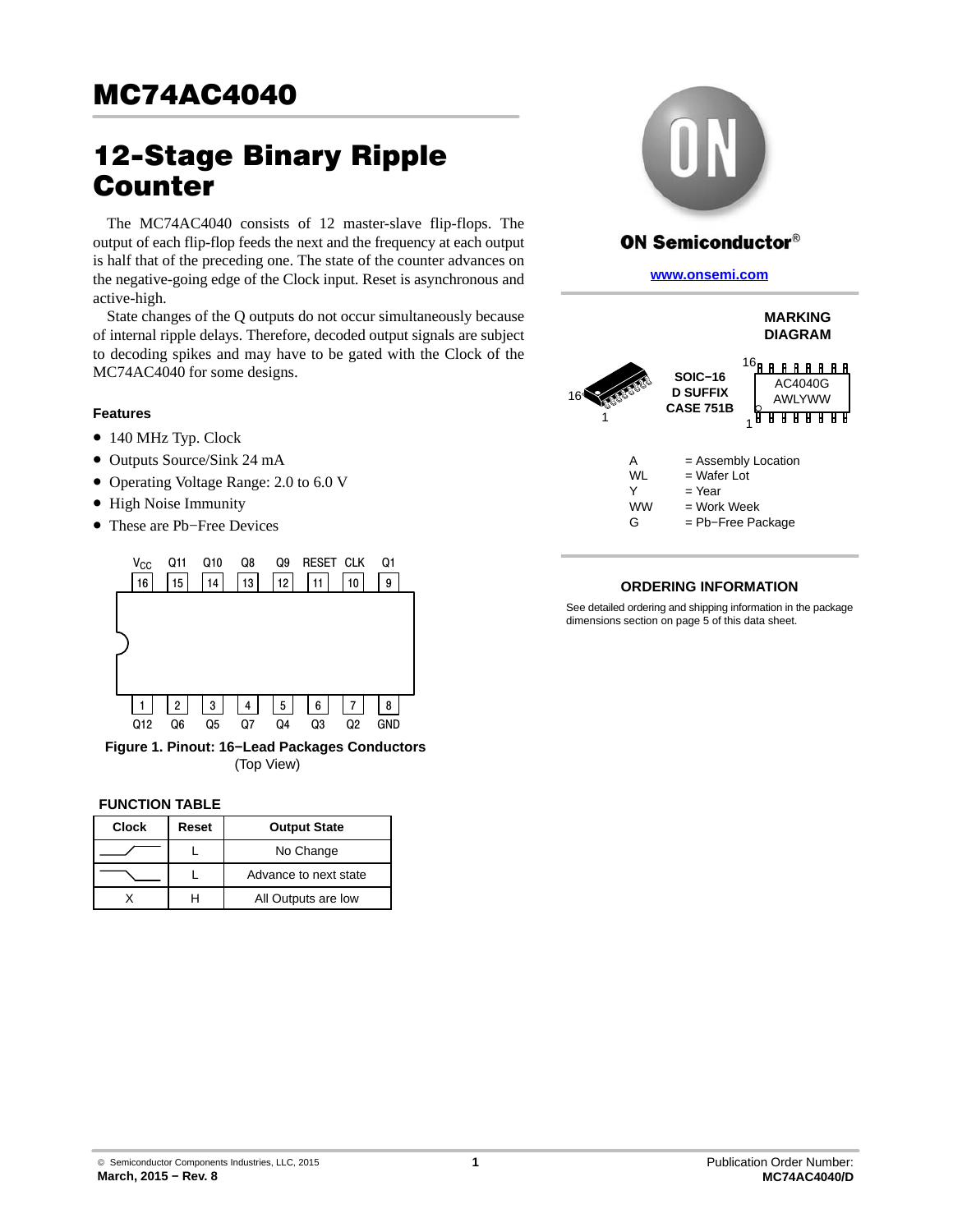# <span id="page-0-0"></span>12-Stage Binary Ripple

The MC74AC4040 consists of 12 master-slave flip-flops. The output of each flip-flop feeds the next and the frequency at each output is half that of the preceding one. The state of the counter advances on the negative-going edge of the Clock input. Reset is asynchronous and active-high.

State changes of the Q outputs do not occur simultaneously because of internal ripple delays. Therefore, decoded output signals are subject to decoding spikes and may have to be gated with the Clock of the MC74AC4040 for some designs.

#### **Features**

- 140 MHz Typ. Clock
- Outputs Source/Sink 24 mA
- Operating Voltage Range: 2.0 to 6.0 V
- High Noise Immunity
- These are Pb−Free Devices



**Figure 1. Pinout: 16−Lead Packages Conductors** (Top View)

#### **FUNCTION TABLE**

| <b>Clock</b> | Reset | <b>Output State</b>   |
|--------------|-------|-----------------------|
|              |       | No Change             |
|              |       | Advance to next state |
|              | ш     | All Outputs are low   |



## **ON Semiconductor®**

**[www.onsemi.com]( http://www.onsemi.com/)**



### **ORDERING INFORMATION**

See detailed ordering and shipping information in the package dimensions section on page [5](#page-4-0) of this data sheet.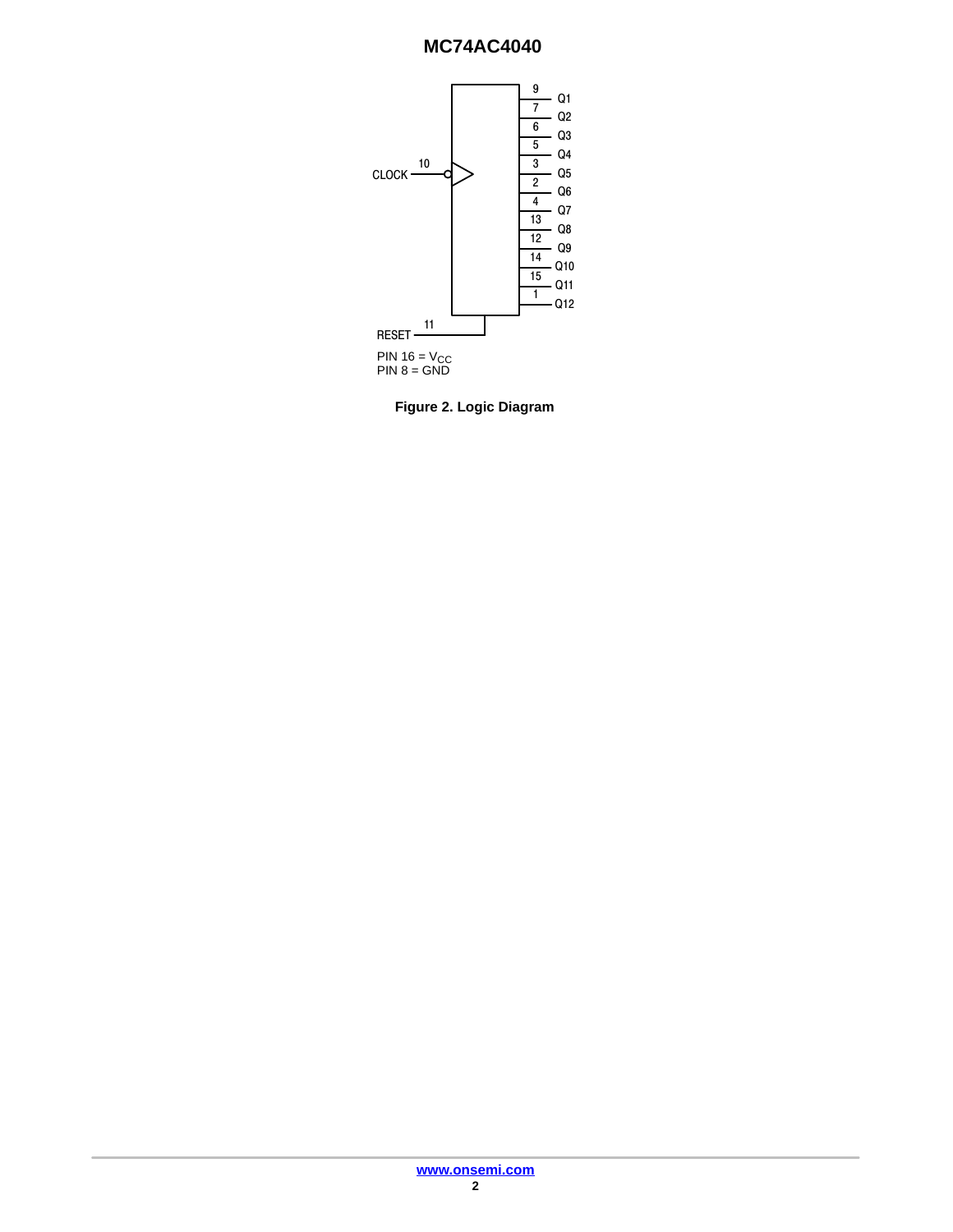

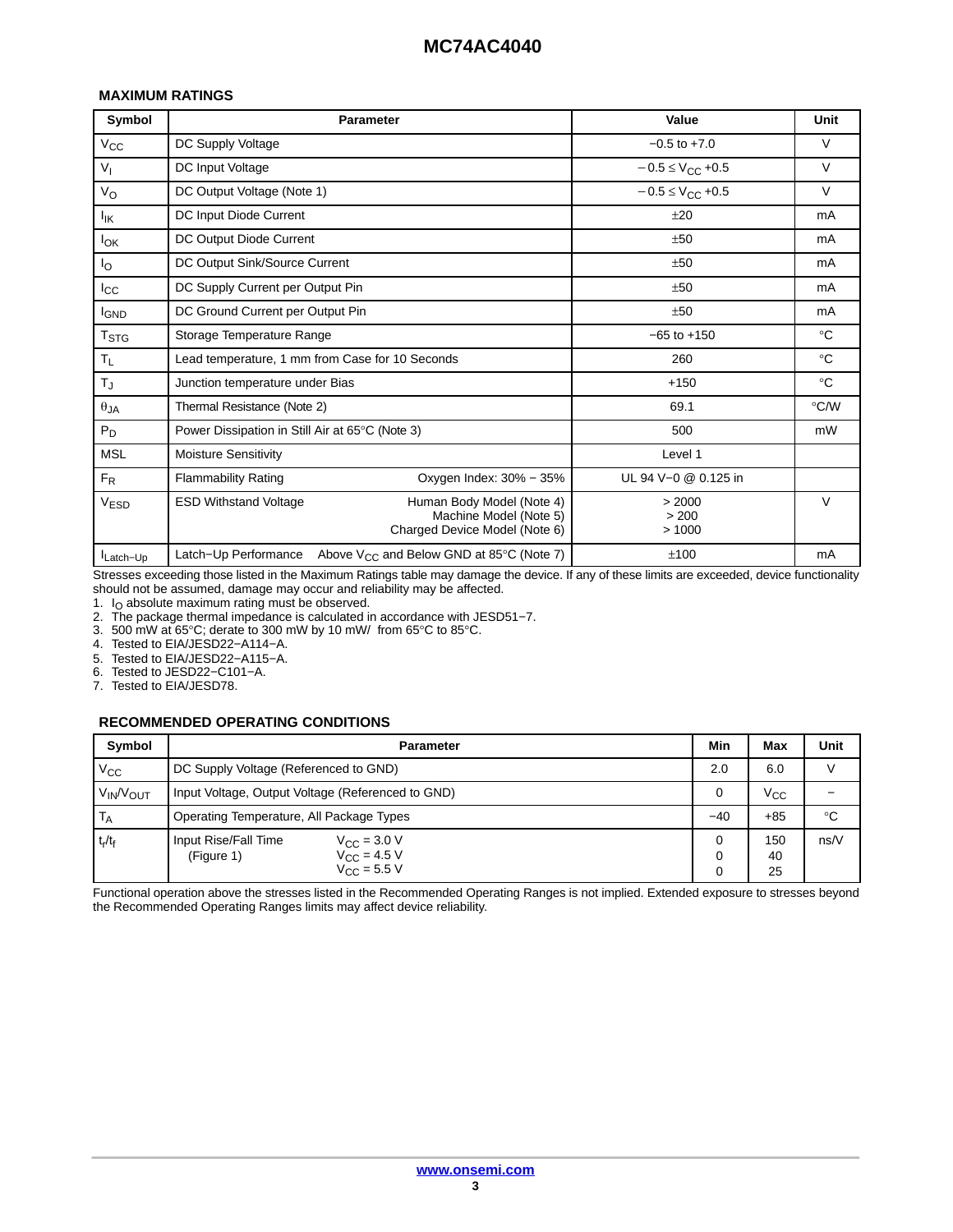#### **MAXIMUM RATINGS**

| Symbol                  | <b>Parameter</b>                                                                                                     | Value                    | Unit        |
|-------------------------|----------------------------------------------------------------------------------------------------------------------|--------------------------|-------------|
| $V_{\rm CC}$            | DC Supply Voltage                                                                                                    | $-0.5$ to $+7.0$         | V           |
| $V_{\parallel}$         | DC Input Voltage                                                                                                     | $-0.5 \leq V_{CC} +0.5$  | V           |
| $V_{\rm O}$             | DC Output Voltage (Note 1)                                                                                           | $-0.5 \leq V_{CC} +0.5$  | V           |
| $I_{IK}$                | DC Input Diode Current                                                                                               | ±20                      | mA          |
| <b>I</b> <sub>OK</sub>  | DC Output Diode Current                                                                                              | ±50                      | mA          |
| l <sub>O</sub>          | DC Output Sink/Source Current                                                                                        | ±50                      | mA          |
| $_{\rm{lcc}}$           | DC Supply Current per Output Pin                                                                                     | ±50                      | mA          |
| <b>I</b> GND            | DC Ground Current per Output Pin                                                                                     | ±50                      | mA          |
| <b>T</b> <sub>STG</sub> | Storage Temperature Range                                                                                            | $-65$ to $+150$          | $^{\circ}C$ |
| $T_{L}$                 | Lead temperature, 1 mm from Case for 10 Seconds                                                                      | 260                      | $^{\circ}C$ |
| $T_J$                   | Junction temperature under Bias                                                                                      | $+150$                   | $^{\circ}C$ |
| $\theta_{\mathsf{JA}}$  | Thermal Resistance (Note 2)                                                                                          | 69.1                     | °C/W        |
| $P_D$                   | Power Dissipation in Still Air at 65°C (Note 3)                                                                      | 500                      | mW          |
| <b>MSL</b>              | <b>Moisture Sensitivity</b>                                                                                          | Level 1                  |             |
| $F_R$                   | <b>Flammability Rating</b><br>Oxygen Index: 30% - 35%                                                                | UL 94 V-0 @ 0.125 in     |             |
| <b>VESD</b>             | <b>ESD Withstand Voltage</b><br>Human Body Model (Note 4)<br>Machine Model (Note 5)<br>Charged Device Model (Note 6) | > 2000<br>> 200<br>>1000 | $\vee$      |
| Latch-Up                | Latch-Up Performance Above $V_{CC}$ and Below GND at 85 $\degree$ C (Note 7)                                         | ±100                     | mA          |

Stresses exceeding those listed in the Maximum Ratings table may damage the device. If any of these limits are exceeded, device functionality should not be assumed, damage may occur and reliability may be affected.

1. I<sub>O</sub> absolute maximum rating must be observed.<br>2. The package thermal impedance is calculated in accordance with JESD51−7.

3. 500 mW at 65°C; derate to 300 mW by 10 mW/ from 65°C to 85°C.

4. Tested to EIA/JESD22−A114−A.

5. Tested to EIA/JESD22−A115−A.

6. Tested to JESD22−C101−A.

7. Tested to EIA/JESD78.

#### **RECOMMENDED OPERATING CONDITIONS**

| Symbol         | <b>Parameter</b>                                                                                                         | Min   | Max             | Unit        |
|----------------|--------------------------------------------------------------------------------------------------------------------------|-------|-----------------|-------------|
| Vcc            | DC Supply Voltage (Referenced to GND)                                                                                    | 2.0   | 6.0             |             |
| VIN/VOUT       | Input Voltage, Output Voltage (Referenced to GND)                                                                        |       | $V_{\rm CC}$    |             |
| Т <sub>А</sub> | Operating Temperature, All Package Types                                                                                 | $-40$ | $+85$           | $^{\circ}C$ |
| $t_r/t_f$      | Input Rise/Fall Time<br>$V_{\text{CC}} = 3.0 \text{ V}$<br>$V_{\rm CC}$ = 4.5 V<br>(Figure 1)<br>$V_{\text{CC}} = 5.5 V$ |       | 150<br>40<br>25 | ns/V        |

Functional operation above the stresses listed in the Recommended Operating Ranges is not implied. Extended exposure to stresses beyond the Recommended Operating Ranges limits may affect device reliability.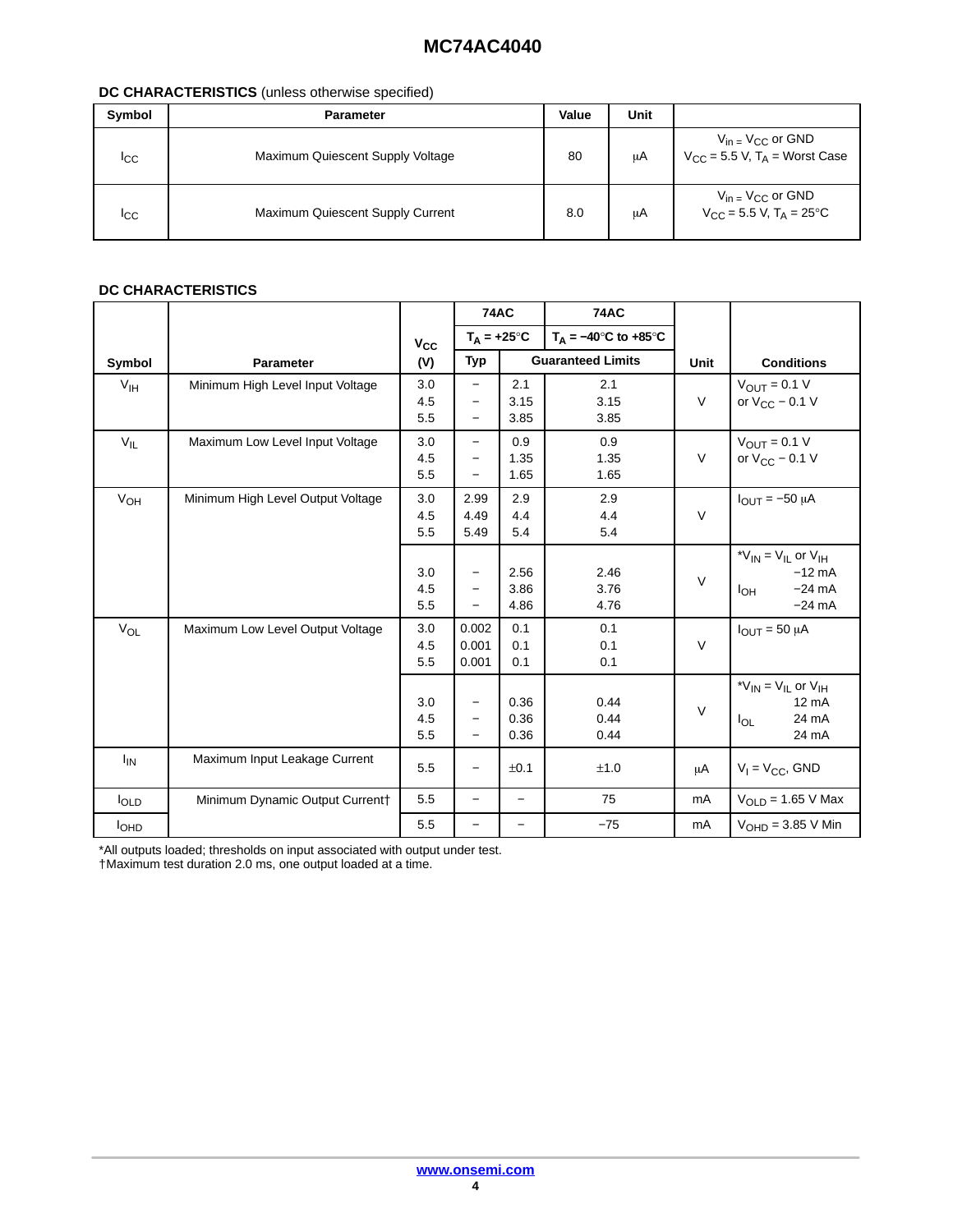### **DC CHARACTERISTICS** (unless otherwise specified)

| Symbol         | <b>Parameter</b>                 | Value | Unit |                                                                                         |
|----------------|----------------------------------|-------|------|-----------------------------------------------------------------------------------------|
| <sub>ICC</sub> | Maximum Quiescent Supply Voltage | 80    | μA   | $V_{in}$ = $V_{CC}$ or GND<br>$V_{CC}$ = 5.5 V, T <sub>A</sub> = Worst Case             |
| lcc.           | Maximum Quiescent Supply Current | 8.0   | иA   | $V_{in} = V_{CC}$ or GND<br>$V_{\text{CC}} = 5.5$ V, T <sub>A</sub> = 25 <sup>°</sup> C |

## **DC CHARACTERISTICS**

|                 |                                   |                   | <b>74AC</b>                                                                      |                      | <b>74AC</b>                                        |        |                                                                                           |
|-----------------|-----------------------------------|-------------------|----------------------------------------------------------------------------------|----------------------|----------------------------------------------------|--------|-------------------------------------------------------------------------------------------|
|                 |                                   | $V_{CC}$          | $T_A = +25^{\circ}C$                                                             |                      | $T_A = -40^\circ \text{C}$ to $+85^\circ \text{C}$ |        |                                                                                           |
| Symbol          | <b>Parameter</b>                  | (V)               | Typ                                                                              |                      | <b>Guaranteed Limits</b>                           |        | <b>Conditions</b>                                                                         |
| $V_{IH}$        | Minimum High Level Input Voltage  | 3.0<br>4.5<br>5.5 | $\overline{\phantom{0}}$<br>$\overline{\phantom{0}}$                             | 2.1<br>3.15<br>3.85  | 2.1<br>3.15<br>3.85                                | $\vee$ | $V_{\text{OUT}} = 0.1 V$<br>or $V_{CC}$ – 0.1 V                                           |
| $V_{IL}$        | Maximum Low Level Input Voltage   | 3.0<br>4.5<br>5.5 | $\overline{\phantom{0}}$<br>$\overline{\phantom{0}}$<br>$\overline{\phantom{0}}$ | 0.9<br>1.35<br>1.65  | 0.9<br>1.35<br>1.65                                | $\vee$ | $V_{\text{OUT}} = 0.1 V$<br>or $V_{CC}$ – 0.1 V                                           |
| V <sub>OH</sub> | Minimum High Level Output Voltage | 3.0<br>4.5<br>5.5 | 2.99<br>4.49<br>5.49                                                             | 2.9<br>4.4<br>5.4    | 2.9<br>4.4<br>5.4                                  | $\vee$ | $IOIJT$ = -50 µA                                                                          |
|                 |                                   | 3.0<br>4.5<br>5.5 | $\qquad \qquad -$<br>$\equiv$                                                    | 2.56<br>3.86<br>4.86 | 2.46<br>3.76<br>4.76                               | $\vee$ | * $V_{IN}$ = $V_{IL}$ or $V_{IH}$<br>$-12$ mA<br>$-24 \text{ mA}$<br>$I_{OH}$<br>$-24$ mA |
| $V_{OL}$        | Maximum Low Level Output Voltage  | 3.0<br>4.5<br>5.5 | 0.002<br>0.001<br>0.001                                                          | 0.1<br>0.1<br>0.1    | 0.1<br>0.1<br>0.1                                  | $\vee$ | $I_{OUT} = 50 \mu A$                                                                      |
|                 |                                   | 3.0<br>4.5<br>5.5 | $\qquad \qquad -$                                                                | 0.36<br>0.36<br>0.36 | 0.44<br>0.44<br>0.44                               | $\vee$ | * $V_{IN}$ = $V_{IL}$ or $V_{IH}$<br>$12 \text{ mA}$<br>24 mA<br>$I_{OL}$<br>24 mA        |
| $I_{IN}$        | Maximum Input Leakage Current     | 5.5               | $\overline{\phantom{m}}$                                                         | ±0.1                 | ±1.0                                               | μA     | $V_1 = V_{CC}$ , GND                                                                      |
| loLD            | Minimum Dynamic Output Current†   | 5.5               | $\overline{\phantom{0}}$                                                         | $\qquad \qquad -$    | 75                                                 | mA     | $V_{OLD}$ = 1.65 V Max                                                                    |
| <b>I</b> OHD    |                                   | 5.5               |                                                                                  |                      | $-75$                                              | mA     | $VOHD = 3.85 V Min$                                                                       |

\*All outputs loaded; thresholds on input associated with output under test.

†Maximum test duration 2.0 ms, one output loaded at a time.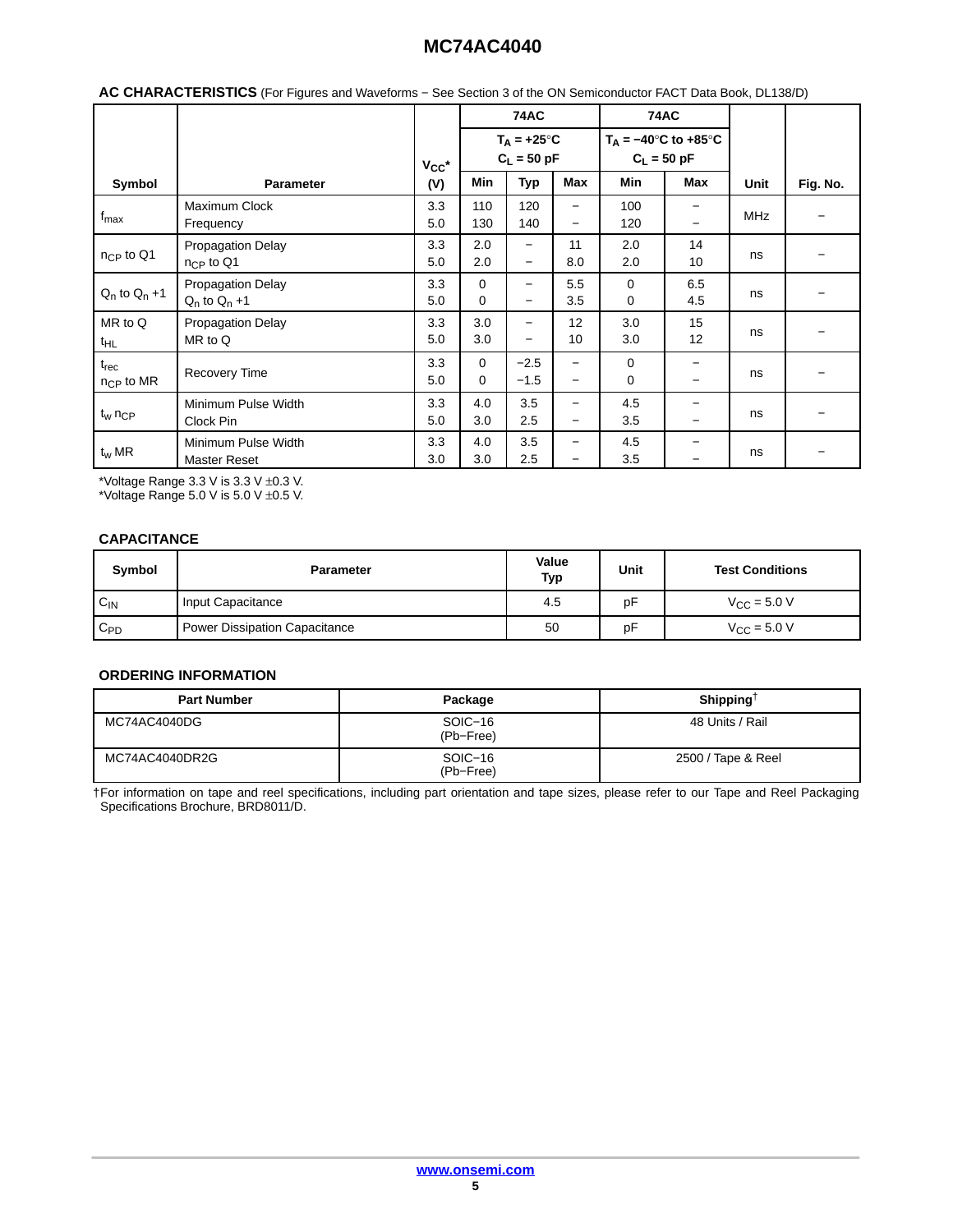<span id="page-4-0"></span>

| AC CHARACTERISTICS (For Figures and Waveforms - See Section 3 of the ON Semiconductor FACT Data Book, DL138/D) |  |  |
|----------------------------------------------------------------------------------------------------------------|--|--|
|                                                                                                                |  |  |

|                                    |                                                |            |               | <b>74AC</b>                                   |                                               |                  | <b>74AC</b>                         |            |          |
|------------------------------------|------------------------------------------------|------------|---------------|-----------------------------------------------|-----------------------------------------------|------------------|-------------------------------------|------------|----------|
|                                    |                                                | $V_{CC}$ * |               | $T_A = +25^{\circ}C$<br>$C_L = 50$ pF         |                                               | $C_L = 50$ pF    | $T_A = -40^\circ \text{C}$ to +85°C |            |          |
| Symbol                             | <b>Parameter</b>                               | (V)        | Min           | Typ                                           | Max                                           | Min              | Max                                 | Unit       | Fig. No. |
| $f_{\text{max}}$                   | Maximum Clock<br>Frequency                     | 3.3<br>5.0 | 110<br>130    | 120<br>140                                    | $\qquad \qquad -$<br>$\overline{\phantom{0}}$ | 100<br>120       |                                     | <b>MHz</b> |          |
| n <sub>CP</sub> to Q1              | <b>Propagation Delay</b><br>$n_{CP}$ to Q1     | 3.3<br>5.0 | 2.0<br>2.0    | $\qquad \qquad -$<br>$\overline{\phantom{m}}$ | 11<br>8.0                                     | 2.0<br>2.0       | 14<br>10                            | ns         |          |
| $Q_n$ to $Q_n$ +1                  | <b>Propagation Delay</b><br>$Q_n$ to $Q_n + 1$ | 3.3<br>5.0 | $\Omega$<br>0 | $\qquad \qquad -$<br>$\overline{\phantom{m}}$ | 5.5<br>3.5                                    | $\mathbf 0$<br>0 | 6.5<br>4.5                          | ns         |          |
| MR to Q<br>t <sub>HL</sub>         | <b>Propagation Delay</b><br>MR to Q            | 3.3<br>5.0 | 3.0<br>3.0    | -<br>$\overline{\phantom{m}}$                 | 12<br>10                                      | 3.0<br>3.0       | 15<br>12                            | ns         |          |
| $t_{rec}$<br>$n_{\text{CP}}$ to MR | <b>Recovery Time</b>                           | 3.3<br>5.0 | $\Omega$<br>0 | $-2.5$<br>$-1.5$                              | $\qquad \qquad -$<br>$\qquad \qquad -$        | 0<br>$\mathbf 0$ |                                     | ns         |          |
| $t_w n_{\text{CP}}$                | Minimum Pulse Width<br>Clock Pin               | 3.3<br>5.0 | 4.0<br>3.0    | 3.5<br>2.5                                    | —<br>$\overline{\phantom{m}}$                 | 4.5<br>3.5       |                                     | ns         |          |
| $t_w$ MR                           | Minimum Pulse Width<br>Master Reset            | 3.3<br>3.0 | 4.0<br>3.0    | 3.5<br>$2.5\,$                                | —<br>-                                        | 4.5<br>3.5       |                                     | ns         |          |

\*Voltage Range 3.3 V is 3.3 V ±0.3 V.

\*Voltage Range 5.0 V is 5.0 V ±0.5 V.

#### **CAPACITANCE**

| <b>Symbol</b>   | <b>Parameter</b>                     | Value<br>Typ | Unit | <b>Test Conditions</b>  |
|-----------------|--------------------------------------|--------------|------|-------------------------|
| $C_{\text{IN}}$ | Input Capacitance                    | 4.5          | рF   | $V_{\text{C}C} = 5.0 V$ |
| $C_{PD}$        | <b>Power Dissipation Capacitance</b> | 50           | рF   | $V_{\text{CC}} = 5.0 V$ |

## **ORDERING INFORMATION**

| <b>Part Number</b> | Package              | Shipping <sup><math>\dagger</math></sup> |
|--------------------|----------------------|------------------------------------------|
| MC74AC4040DG       | SOIC-16<br>(Pb-Free) | 48 Units / Rail                          |
| MC74AC4040DR2G     | SOIC-16<br>(Pb-Free) | 2500 / Tape & Reel                       |

†For information on tape and reel specifications, including part orientation and tape sizes, please refer to our Tape and Reel Packaging Specifications Brochure, BRD8011/D.